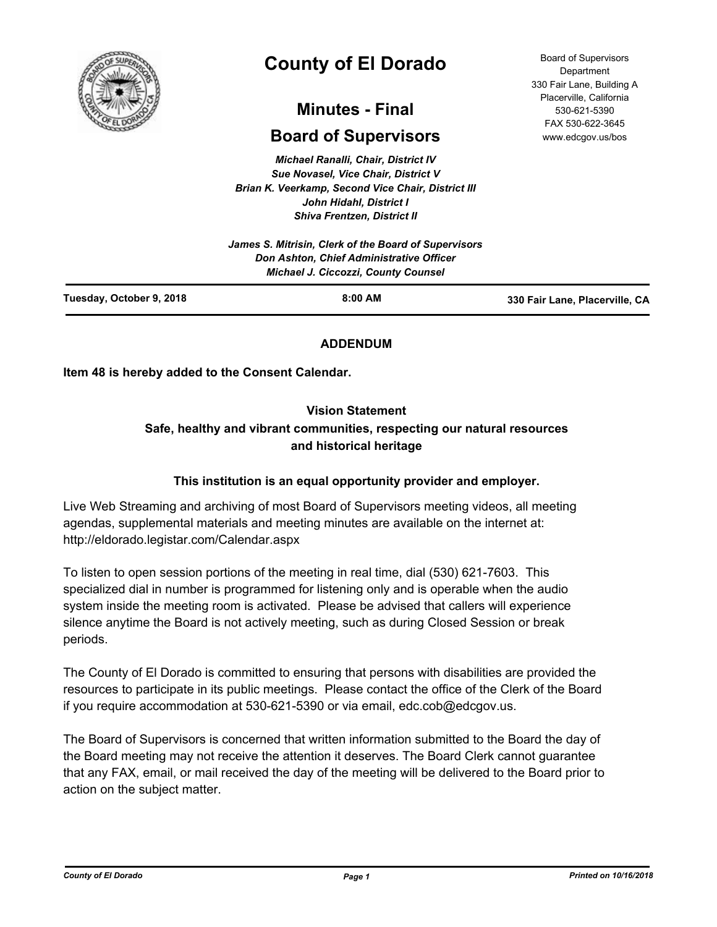

# **County of El Dorado**

# **Minutes - Final**

# **Board of Supervisors**

*Michael Ranalli, Chair, District IV Sue Novasel, Vice Chair, District V Brian K. Veerkamp, Second Vice Chair, District III John Hidahl, District I Shiva Frentzen, District II*

|                          | James S. Mitrisin, Clerk of the Board of Supervisors<br><b>Don Ashton, Chief Administrative Officer</b><br><b>Michael J. Ciccozzi, County Counsel</b> |                                |
|--------------------------|-------------------------------------------------------------------------------------------------------------------------------------------------------|--------------------------------|
| Tuesday, October 9, 2018 | $8:00$ AM                                                                                                                                             | 330 Fair Lane, Placerville, CA |

# **ADDENDUM**

**Item 48 is hereby added to the Consent Calendar.**

# **Vision Statement**

# **Safe, healthy and vibrant communities, respecting our natural resources and historical heritage**

# **This institution is an equal opportunity provider and employer.**

Live Web Streaming and archiving of most Board of Supervisors meeting videos, all meeting agendas, supplemental materials and meeting minutes are available on the internet at: http://eldorado.legistar.com/Calendar.aspx

To listen to open session portions of the meeting in real time, dial (530) 621-7603. This specialized dial in number is programmed for listening only and is operable when the audio system inside the meeting room is activated. Please be advised that callers will experience silence anytime the Board is not actively meeting, such as during Closed Session or break periods.

The County of El Dorado is committed to ensuring that persons with disabilities are provided the resources to participate in its public meetings. Please contact the office of the Clerk of the Board if you require accommodation at 530-621-5390 or via email, edc.cob@edcgov.us.

The Board of Supervisors is concerned that written information submitted to the Board the day of the Board meeting may not receive the attention it deserves. The Board Clerk cannot guarantee that any FAX, email, or mail received the day of the meeting will be delivered to the Board prior to action on the subject matter.

Board of Supervisors Department 330 Fair Lane, Building A Placerville, California 530-621-5390 FAX 530-622-3645 www.edcgov.us/bos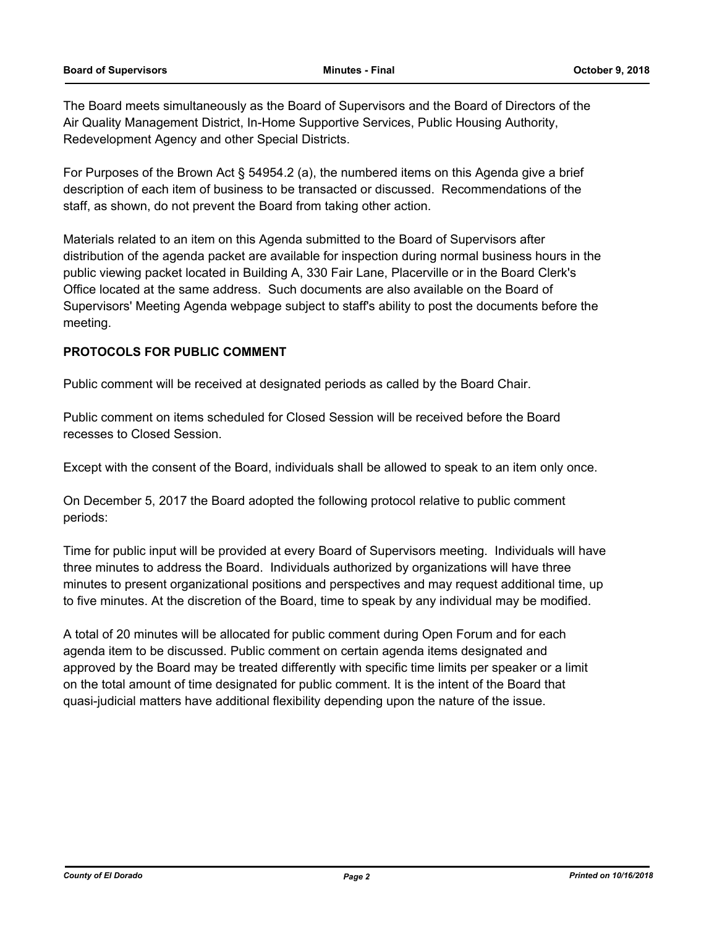The Board meets simultaneously as the Board of Supervisors and the Board of Directors of the Air Quality Management District, In-Home Supportive Services, Public Housing Authority, Redevelopment Agency and other Special Districts.

For Purposes of the Brown Act § 54954.2 (a), the numbered items on this Agenda give a brief description of each item of business to be transacted or discussed. Recommendations of the staff, as shown, do not prevent the Board from taking other action.

Materials related to an item on this Agenda submitted to the Board of Supervisors after distribution of the agenda packet are available for inspection during normal business hours in the public viewing packet located in Building A, 330 Fair Lane, Placerville or in the Board Clerk's Office located at the same address. Such documents are also available on the Board of Supervisors' Meeting Agenda webpage subject to staff's ability to post the documents before the meeting.

## **PROTOCOLS FOR PUBLIC COMMENT**

Public comment will be received at designated periods as called by the Board Chair.

Public comment on items scheduled for Closed Session will be received before the Board recesses to Closed Session.

Except with the consent of the Board, individuals shall be allowed to speak to an item only once.

On December 5, 2017 the Board adopted the following protocol relative to public comment periods:

Time for public input will be provided at every Board of Supervisors meeting. Individuals will have three minutes to address the Board. Individuals authorized by organizations will have three minutes to present organizational positions and perspectives and may request additional time, up to five minutes. At the discretion of the Board, time to speak by any individual may be modified.

A total of 20 minutes will be allocated for public comment during Open Forum and for each agenda item to be discussed. Public comment on certain agenda items designated and approved by the Board may be treated differently with specific time limits per speaker or a limit on the total amount of time designated for public comment. It is the intent of the Board that quasi-judicial matters have additional flexibility depending upon the nature of the issue.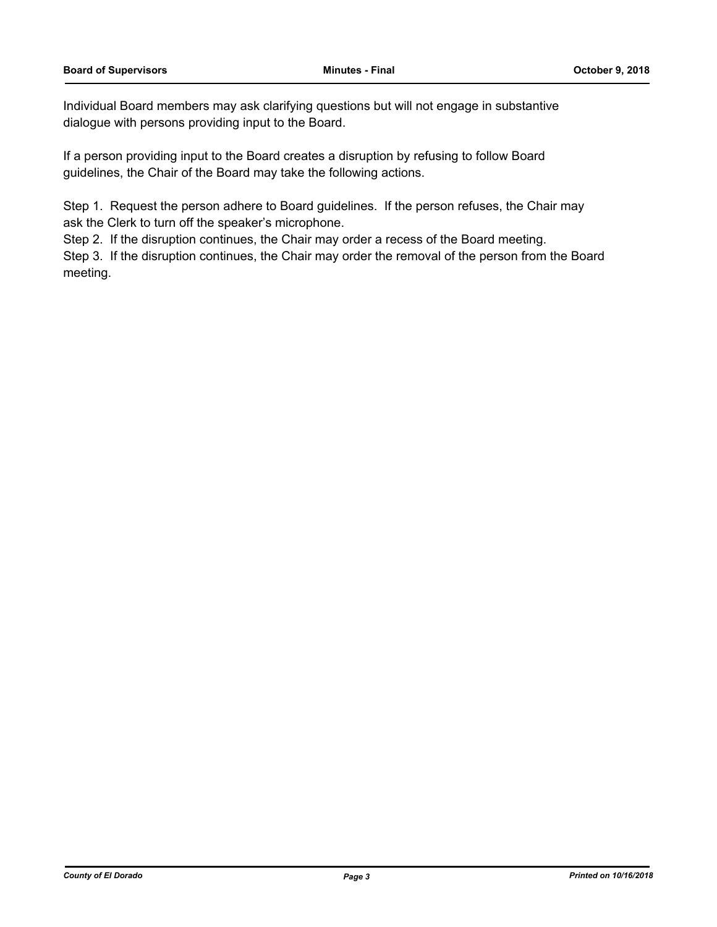Individual Board members may ask clarifying questions but will not engage in substantive dialogue with persons providing input to the Board.

If a person providing input to the Board creates a disruption by refusing to follow Board guidelines, the Chair of the Board may take the following actions.

Step 1. Request the person adhere to Board guidelines. If the person refuses, the Chair may ask the Clerk to turn off the speaker's microphone.

Step 2. If the disruption continues, the Chair may order a recess of the Board meeting.

Step 3. If the disruption continues, the Chair may order the removal of the person from the Board meeting.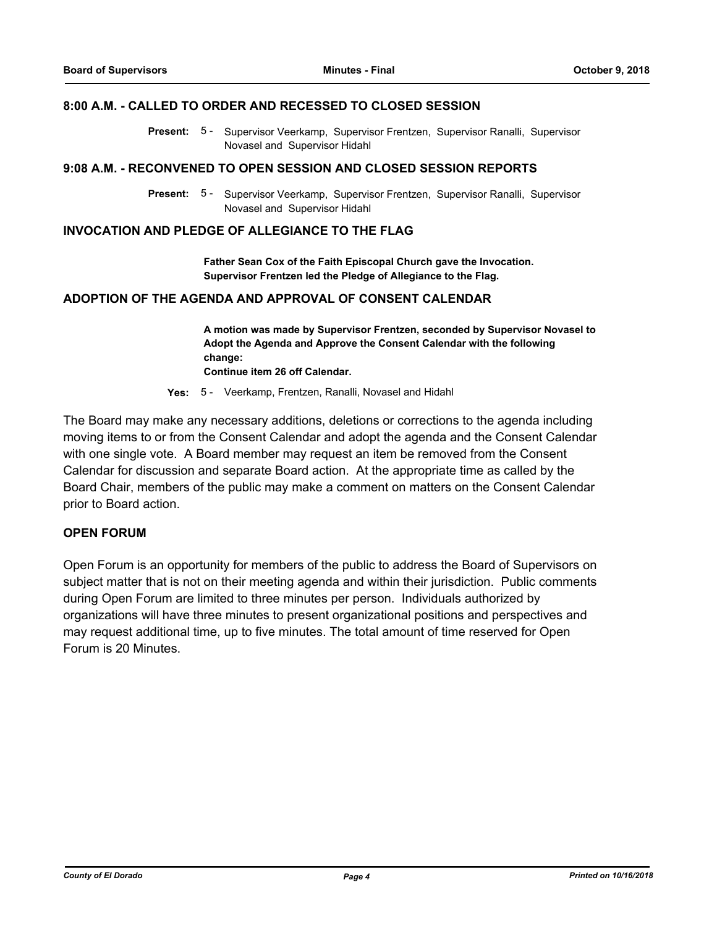#### **8:00 A.M. - CALLED TO ORDER AND RECESSED TO CLOSED SESSION**

Present: 5 - Supervisor Veerkamp, Supervisor Frentzen, Supervisor Ranalli, Supervisor Novasel and Supervisor Hidahl

#### **9:08 A.M. - RECONVENED TO OPEN SESSION AND CLOSED SESSION REPORTS**

Present: 5 - Supervisor Veerkamp, Supervisor Frentzen, Supervisor Ranalli, Supervisor Novasel and Supervisor Hidahl

# **INVOCATION AND PLEDGE OF ALLEGIANCE TO THE FLAG**

**Father Sean Cox of the Faith Episcopal Church gave the Invocation. Supervisor Frentzen led the Pledge of Allegiance to the Flag.**

# **ADOPTION OF THE AGENDA AND APPROVAL OF CONSENT CALENDAR**

**A motion was made by Supervisor Frentzen, seconded by Supervisor Novasel to Adopt the Agenda and Approve the Consent Calendar with the following change: Continue item 26 off Calendar.**

**Yes:** 5 - Veerkamp, Frentzen, Ranalli, Novasel and Hidahl

The Board may make any necessary additions, deletions or corrections to the agenda including moving items to or from the Consent Calendar and adopt the agenda and the Consent Calendar with one single vote. A Board member may request an item be removed from the Consent Calendar for discussion and separate Board action. At the appropriate time as called by the Board Chair, members of the public may make a comment on matters on the Consent Calendar prior to Board action.

#### **OPEN FORUM**

Open Forum is an opportunity for members of the public to address the Board of Supervisors on subject matter that is not on their meeting agenda and within their jurisdiction. Public comments during Open Forum are limited to three minutes per person. Individuals authorized by organizations will have three minutes to present organizational positions and perspectives and may request additional time, up to five minutes. The total amount of time reserved for Open Forum is 20 Minutes.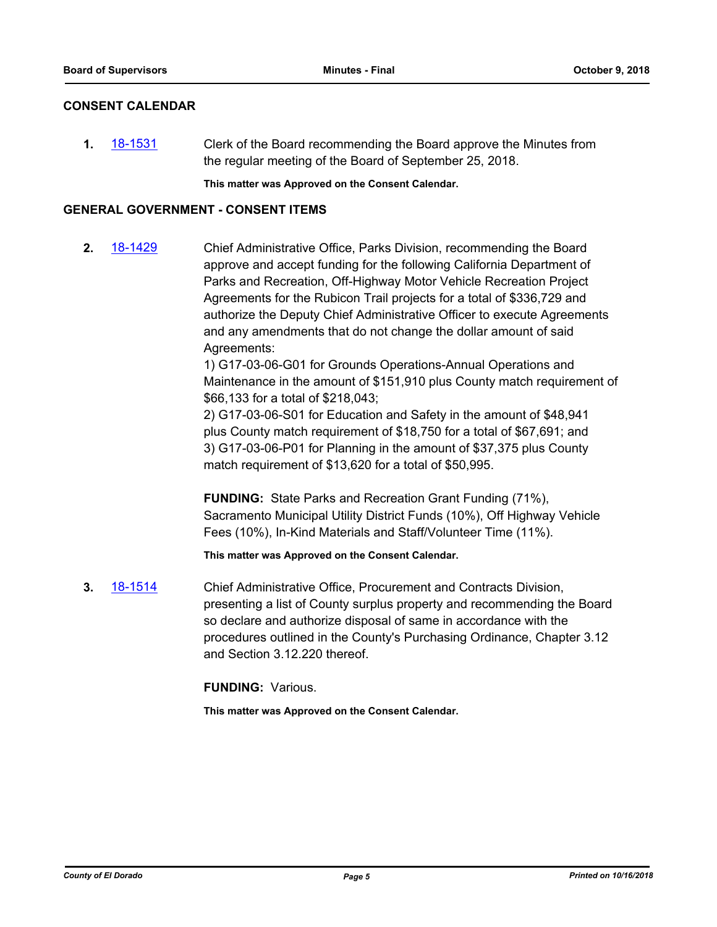# **CONSENT CALENDAR**

**1.** [18-1531](http://eldorado.legistar.com/gateway.aspx?m=l&id=/matter.aspx?key=24882) Clerk of the Board recommending the Board approve the Minutes from the regular meeting of the Board of September 25, 2018.

**This matter was Approved on the Consent Calendar.**

# **GENERAL GOVERNMENT - CONSENT ITEMS**

**2.** [18-1429](http://eldorado.legistar.com/gateway.aspx?m=l&id=/matter.aspx?key=24781) Chief Administrative Office, Parks Division, recommending the Board approve and accept funding for the following California Department of Parks and Recreation, Off-Highway Motor Vehicle Recreation Project Agreements for the Rubicon Trail projects for a total of \$336,729 and authorize the Deputy Chief Administrative Officer to execute Agreements and any amendments that do not change the dollar amount of said Agreements:

> 1) G17-03-06-G01 for Grounds Operations-Annual Operations and Maintenance in the amount of \$151,910 plus County match requirement of \$66,133 for a total of \$218,043;

2) G17-03-06-S01 for Education and Safety in the amount of \$48,941 plus County match requirement of \$18,750 for a total of \$67,691; and 3) G17-03-06-P01 for Planning in the amount of \$37,375 plus County match requirement of \$13,620 for a total of \$50,995.

**FUNDING:** State Parks and Recreation Grant Funding (71%), Sacramento Municipal Utility District Funds (10%), Off Highway Vehicle Fees (10%), In-Kind Materials and Staff/Volunteer Time (11%).

**This matter was Approved on the Consent Calendar.**

**3.** [18-1514](http://eldorado.legistar.com/gateway.aspx?m=l&id=/matter.aspx?key=24865) Chief Administrative Office, Procurement and Contracts Division, presenting a list of County surplus property and recommending the Board so declare and authorize disposal of same in accordance with the procedures outlined in the County's Purchasing Ordinance, Chapter 3.12 and Section 3.12.220 thereof.

**FUNDING:** Various.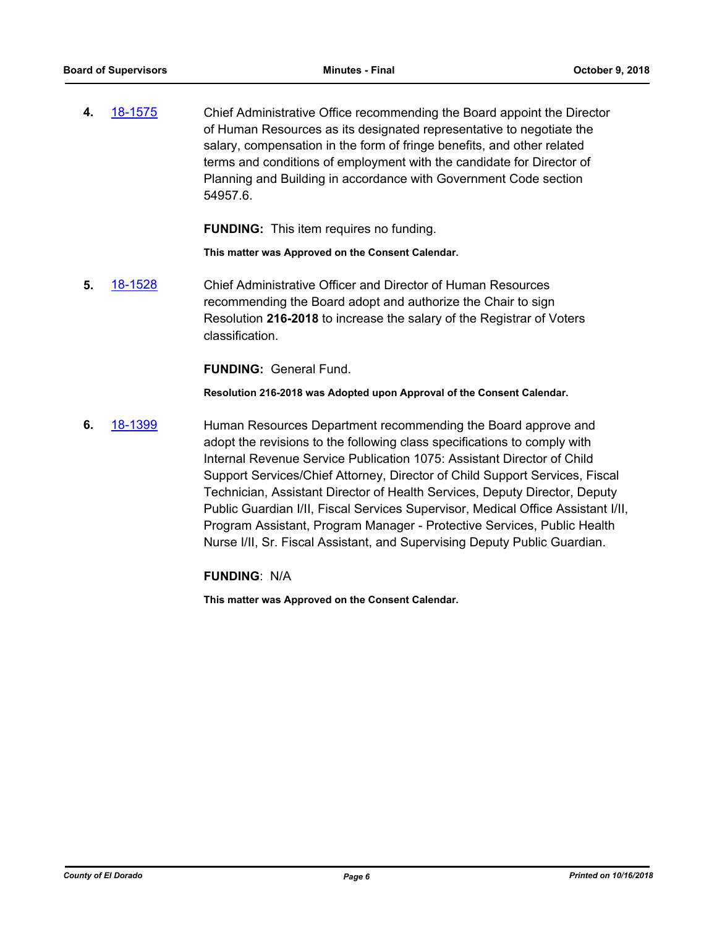**4.** [18-1575](http://eldorado.legistar.com/gateway.aspx?m=l&id=/matter.aspx?key=24926) Chief Administrative Office recommending the Board appoint the Director of Human Resources as its designated representative to negotiate the salary, compensation in the form of fringe benefits, and other related terms and conditions of employment with the candidate for Director of Planning and Building in accordance with Government Code section 54957.6.

**FUNDING:** This item requires no funding.

**This matter was Approved on the Consent Calendar.**

**5.** [18-1528](http://eldorado.legistar.com/gateway.aspx?m=l&id=/matter.aspx?key=24879) Chief Administrative Officer and Director of Human Resources recommending the Board adopt and authorize the Chair to sign Resolution **216-2018** to increase the salary of the Registrar of Voters classification.

**FUNDING:** General Fund.

**Resolution 216-2018 was Adopted upon Approval of the Consent Calendar.**

**6.** [18-1399](http://eldorado.legistar.com/gateway.aspx?m=l&id=/matter.aspx?key=24751) Human Resources Department recommending the Board approve and adopt the revisions to the following class specifications to comply with Internal Revenue Service Publication 1075: Assistant Director of Child Support Services/Chief Attorney, Director of Child Support Services, Fiscal Technician, Assistant Director of Health Services, Deputy Director, Deputy Public Guardian I/II, Fiscal Services Supervisor, Medical Office Assistant I/II, Program Assistant, Program Manager - Protective Services, Public Health Nurse I/II, Sr. Fiscal Assistant, and Supervising Deputy Public Guardian.

**FUNDING**: N/A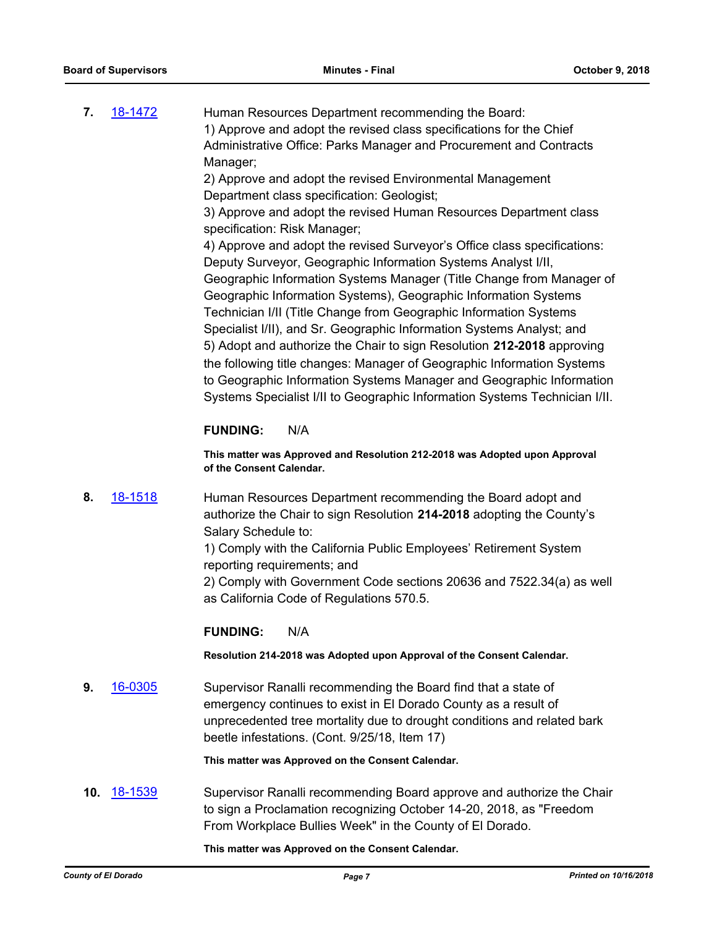**7.** [18-1472](http://eldorado.legistar.com/gateway.aspx?m=l&id=/matter.aspx?key=24823) Human Resources Department recommending the Board: 1) Approve and adopt the revised class specifications for the Chief Administrative Office: Parks Manager and Procurement and Contracts Manager;

2) Approve and adopt the revised Environmental Management Department class specification: Geologist;

3) Approve and adopt the revised Human Resources Department class specification: Risk Manager;

4) Approve and adopt the revised Surveyor's Office class specifications: Deputy Surveyor, Geographic Information Systems Analyst I/II, Geographic Information Systems Manager (Title Change from Manager of Geographic Information Systems), Geographic Information Systems Technician I/II (Title Change from Geographic Information Systems Specialist I/II), and Sr. Geographic Information Systems Analyst; and 5) Adopt and authorize the Chair to sign Resolution **212-2018** approving the following title changes: Manager of Geographic Information Systems to Geographic Information Systems Manager and Geographic Information Systems Specialist I/II to Geographic Information Systems Technician I/II.

# **FUNDING:** N/A

**This matter was Approved and Resolution 212-2018 was Adopted upon Approval of the Consent Calendar.**

**8.** [18-1518](http://eldorado.legistar.com/gateway.aspx?m=l&id=/matter.aspx?key=24869) Human Resources Department recommending the Board adopt and authorize the Chair to sign Resolution **214-2018** adopting the County's Salary Schedule to:

> 1) Comply with the California Public Employees' Retirement System reporting requirements; and

2) Comply with Government Code sections 20636 and 7522.34(a) as well as California Code of Regulations 570.5.

# **FUNDING:** N/A

**Resolution 214-2018 was Adopted upon Approval of the Consent Calendar.**

**9.** [16-0305](http://eldorado.legistar.com/gateway.aspx?m=l&id=/matter.aspx?key=20961) Supervisor Ranalli recommending the Board find that a state of emergency continues to exist in El Dorado County as a result of unprecedented tree mortality due to drought conditions and related bark beetle infestations. (Cont. 9/25/18, Item 17)

**This matter was Approved on the Consent Calendar.**

**10.** [18-1539](http://eldorado.legistar.com/gateway.aspx?m=l&id=/matter.aspx?key=24890) Supervisor Ranalli recommending Board approve and authorize the Chair to sign a Proclamation recognizing October 14-20, 2018, as "Freedom From Workplace Bullies Week" in the County of El Dorado.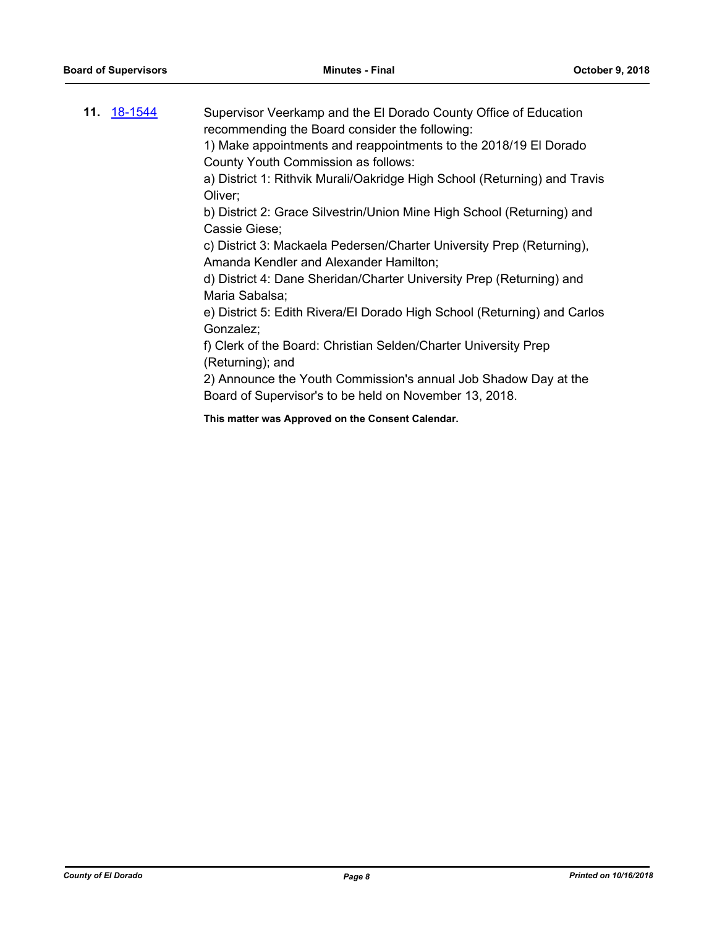| <b>11.</b> 18-1544 | Supervisor Veerkamp and the El Dorado County Office of Education<br>recommending the Board consider the following:        |
|--------------------|---------------------------------------------------------------------------------------------------------------------------|
|                    | 1) Make appointments and reappointments to the 2018/19 El Dorado                                                          |
|                    | County Youth Commission as follows:                                                                                       |
|                    | a) District 1: Rithvik Murali/Oakridge High School (Returning) and Travis<br>Oliver:                                      |
|                    | b) District 2: Grace Silvestrin/Union Mine High School (Returning) and<br>Cassie Giese;                                   |
|                    | c) District 3: Mackaela Pedersen/Charter University Prep (Returning),<br>Amanda Kendler and Alexander Hamilton;           |
|                    | d) District 4: Dane Sheridan/Charter University Prep (Returning) and<br>Maria Sabalsa;                                    |
|                    | e) District 5: Edith Rivera/El Dorado High School (Returning) and Carlos<br>Gonzalez;                                     |
|                    | f) Clerk of the Board: Christian Selden/Charter University Prep<br>(Returning); and                                       |
|                    | 2) Announce the Youth Commission's annual Job Shadow Day at the<br>Board of Supervisor's to be held on November 13, 2018. |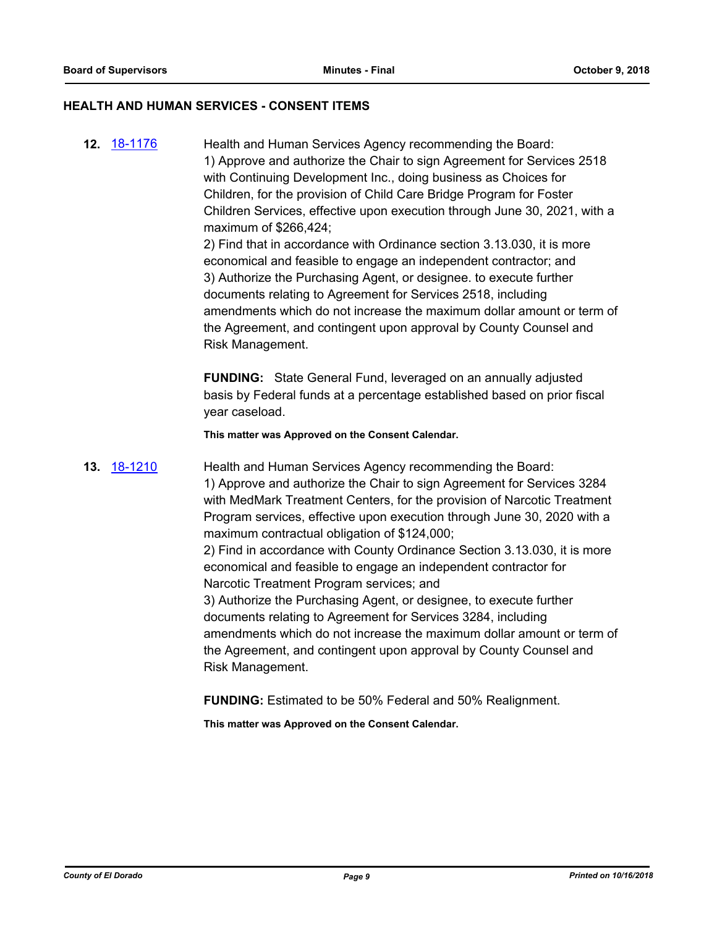#### **HEALTH AND HUMAN SERVICES - CONSENT ITEMS**

**12.** [18-1176](http://eldorado.legistar.com/gateway.aspx?m=l&id=/matter.aspx?key=24526) Health and Human Services Agency recommending the Board: 1) Approve and authorize the Chair to sign Agreement for Services 2518 with Continuing Development Inc., doing business as Choices for Children, for the provision of Child Care Bridge Program for Foster Children Services, effective upon execution through June 30, 2021, with a maximum of \$266,424;

> 2) Find that in accordance with Ordinance section 3.13.030, it is more economical and feasible to engage an independent contractor; and 3) Authorize the Purchasing Agent, or designee. to execute further documents relating to Agreement for Services 2518, including amendments which do not increase the maximum dollar amount or term of the Agreement, and contingent upon approval by County Counsel and Risk Management.

**FUNDING:** State General Fund, leveraged on an annually adjusted basis by Federal funds at a percentage established based on prior fiscal year caseload.

**This matter was Approved on the Consent Calendar.**

**13.** [18-1210](http://eldorado.legistar.com/gateway.aspx?m=l&id=/matter.aspx?key=24561) Health and Human Services Agency recommending the Board: 1) Approve and authorize the Chair to sign Agreement for Services 3284 with MedMark Treatment Centers, for the provision of Narcotic Treatment Program services, effective upon execution through June 30, 2020 with a maximum contractual obligation of \$124,000;

> 2) Find in accordance with County Ordinance Section 3.13.030, it is more economical and feasible to engage an independent contractor for Narcotic Treatment Program services; and

3) Authorize the Purchasing Agent, or designee, to execute further documents relating to Agreement for Services 3284, including amendments which do not increase the maximum dollar amount or term of the Agreement, and contingent upon approval by County Counsel and Risk Management.

**FUNDING:** Estimated to be 50% Federal and 50% Realignment.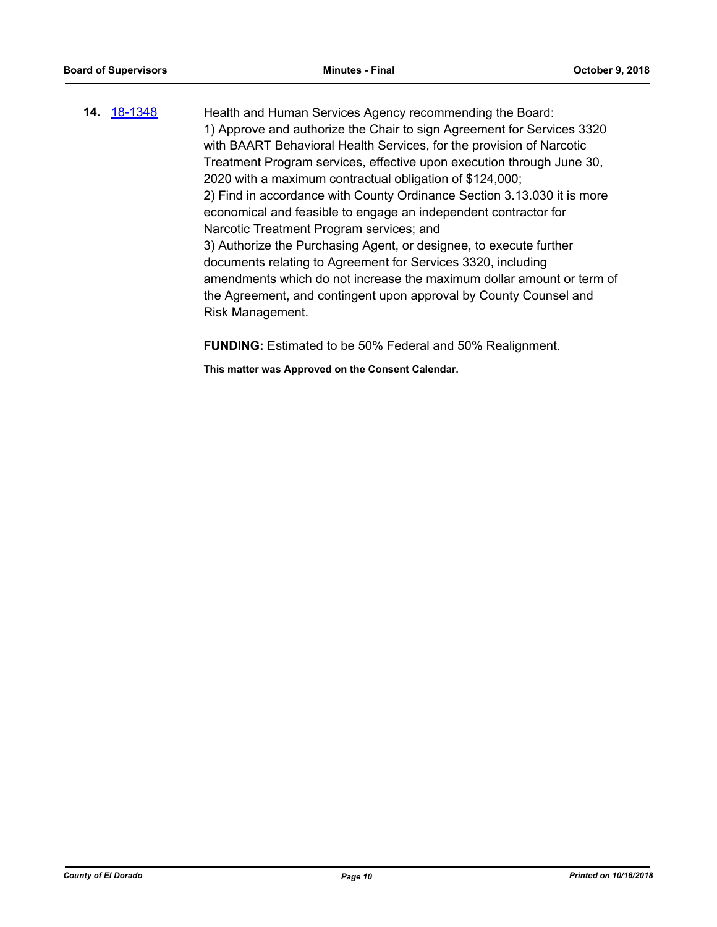**14.** [18-1348](http://eldorado.legistar.com/gateway.aspx?m=l&id=/matter.aspx?key=24699) Health and Human Services Agency recommending the Board: 1) Approve and authorize the Chair to sign Agreement for Services 3320 with BAART Behavioral Health Services, for the provision of Narcotic Treatment Program services, effective upon execution through June 30, 2020 with a maximum contractual obligation of \$124,000; 2) Find in accordance with County Ordinance Section 3.13.030 it is more economical and feasible to engage an independent contractor for Narcotic Treatment Program services; and 3) Authorize the Purchasing Agent, or designee, to execute further documents relating to Agreement for Services 3320, including amendments which do not increase the maximum dollar amount or term of the Agreement, and contingent upon approval by County Counsel and Risk Management.

**FUNDING:** Estimated to be 50% Federal and 50% Realignment.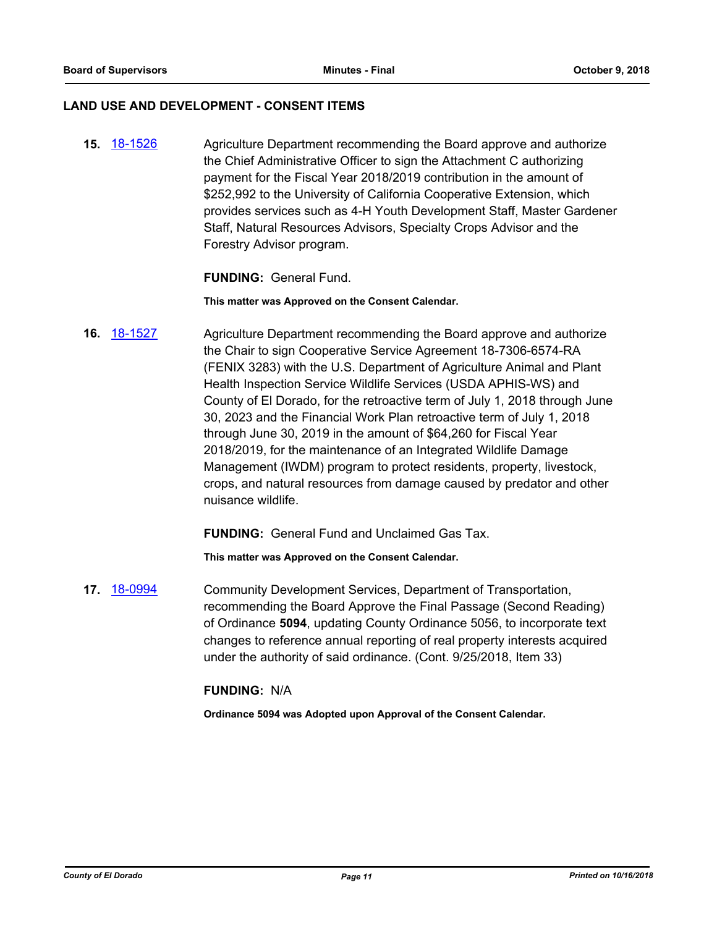#### **LAND USE AND DEVELOPMENT - CONSENT ITEMS**

**15.** [18-1526](http://eldorado.legistar.com/gateway.aspx?m=l&id=/matter.aspx?key=24877) Agriculture Department recommending the Board approve and authorize the Chief Administrative Officer to sign the Attachment C authorizing payment for the Fiscal Year 2018/2019 contribution in the amount of \$252,992 to the University of California Cooperative Extension, which provides services such as 4-H Youth Development Staff, Master Gardener Staff, Natural Resources Advisors, Specialty Crops Advisor and the Forestry Advisor program.

#### **FUNDING:** General Fund.

**This matter was Approved on the Consent Calendar.**

**16.** [18-1527](http://eldorado.legistar.com/gateway.aspx?m=l&id=/matter.aspx?key=24878) Agriculture Department recommending the Board approve and authorize the Chair to sign Cooperative Service Agreement 18-7306-6574-RA (FENIX 3283) with the U.S. Department of Agriculture Animal and Plant Health Inspection Service Wildlife Services (USDA APHIS-WS) and County of El Dorado, for the retroactive term of July 1, 2018 through June 30, 2023 and the Financial Work Plan retroactive term of July 1, 2018 through June 30, 2019 in the amount of \$64,260 for Fiscal Year 2018/2019, for the maintenance of an Integrated Wildlife Damage Management (IWDM) program to protect residents, property, livestock, crops, and natural resources from damage caused by predator and other nuisance wildlife.

**FUNDING:** General Fund and Unclaimed Gas Tax.

**This matter was Approved on the Consent Calendar.**

**17.** [18-0994](http://eldorado.legistar.com/gateway.aspx?m=l&id=/matter.aspx?key=24343) Community Development Services, Department of Transportation, recommending the Board Approve the Final Passage (Second Reading) of Ordinance **5094**, updating County Ordinance 5056, to incorporate text changes to reference annual reporting of real property interests acquired under the authority of said ordinance. (Cont. 9/25/2018, Item 33)

#### **FUNDING:** N/A

**Ordinance 5094 was Adopted upon Approval of the Consent Calendar.**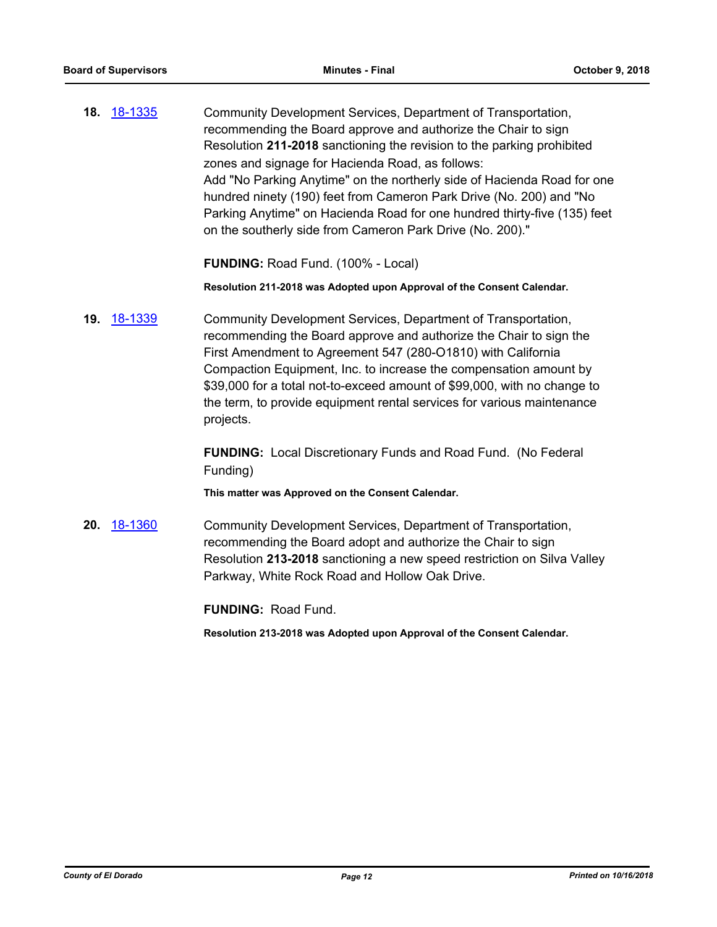**18.** [18-1335](http://eldorado.legistar.com/gateway.aspx?m=l&id=/matter.aspx?key=24686) Community Development Services, Department of Transportation, recommending the Board approve and authorize the Chair to sign Resolution **211-2018** sanctioning the revision to the parking prohibited zones and signage for Hacienda Road, as follows: Add "No Parking Anytime" on the northerly side of Hacienda Road for one hundred ninety (190) feet from Cameron Park Drive (No. 200) and "No Parking Anytime" on Hacienda Road for one hundred thirty-five (135) feet on the southerly side from Cameron Park Drive (No. 200)."

**FUNDING:** Road Fund. (100% - Local)

**Resolution 211-2018 was Adopted upon Approval of the Consent Calendar.**

**19.** [18-1339](http://eldorado.legistar.com/gateway.aspx?m=l&id=/matter.aspx?key=24690) Community Development Services, Department of Transportation, recommending the Board approve and authorize the Chair to sign the First Amendment to Agreement 547 (280-O1810) with California Compaction Equipment, Inc. to increase the compensation amount by \$39,000 for a total not-to-exceed amount of \$99,000, with no change to the term, to provide equipment rental services for various maintenance projects.

> **FUNDING:** Local Discretionary Funds and Road Fund. (No Federal Funding)

**This matter was Approved on the Consent Calendar.**

**20.** [18-1360](http://eldorado.legistar.com/gateway.aspx?m=l&id=/matter.aspx?key=24712) Community Development Services, Department of Transportation, recommending the Board adopt and authorize the Chair to sign Resolution **213-2018** sanctioning a new speed restriction on Silva Valley Parkway, White Rock Road and Hollow Oak Drive.

**FUNDING:** Road Fund.

**Resolution 213-2018 was Adopted upon Approval of the Consent Calendar.**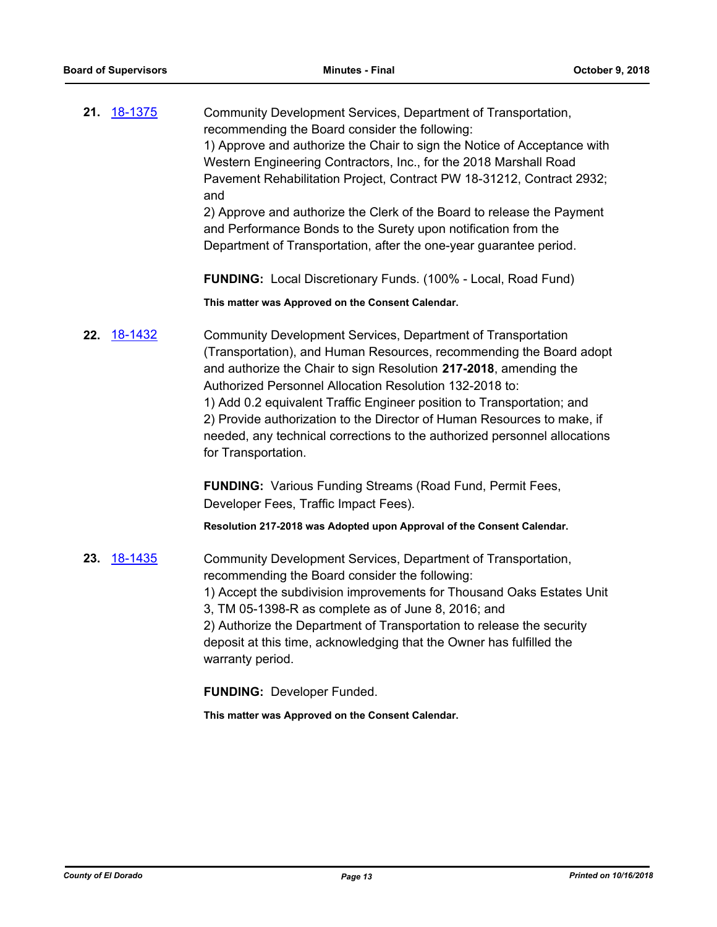| 21. | <u>18-1375</u> | Community Development Services, Department of Transportation,<br>recommending the Board consider the following:<br>1) Approve and authorize the Chair to sign the Notice of Acceptance with<br>Western Engineering Contractors, Inc., for the 2018 Marshall Road<br>Pavement Rehabilitation Project, Contract PW 18-31212, Contract 2932;<br>and<br>2) Approve and authorize the Clerk of the Board to release the Payment<br>and Performance Bonds to the Surety upon notification from the<br>Department of Transportation, after the one-year guarantee period. |
|-----|----------------|--------------------------------------------------------------------------------------------------------------------------------------------------------------------------------------------------------------------------------------------------------------------------------------------------------------------------------------------------------------------------------------------------------------------------------------------------------------------------------------------------------------------------------------------------------------------|
|     |                | FUNDING: Local Discretionary Funds. (100% - Local, Road Fund)                                                                                                                                                                                                                                                                                                                                                                                                                                                                                                      |
|     |                | This matter was Approved on the Consent Calendar.                                                                                                                                                                                                                                                                                                                                                                                                                                                                                                                  |
| 22. | 18-1432        | Community Development Services, Department of Transportation<br>(Transportation), and Human Resources, recommending the Board adopt<br>and authorize the Chair to sign Resolution 217-2018, amending the<br>Authorized Personnel Allocation Resolution 132-2018 to:<br>1) Add 0.2 equivalent Traffic Engineer position to Transportation; and<br>2) Provide authorization to the Director of Human Resources to make, if<br>needed, any technical corrections to the authorized personnel allocations<br>for Transportation.                                       |
|     |                | <b>FUNDING:</b> Various Funding Streams (Road Fund, Permit Fees,<br>Developer Fees, Traffic Impact Fees).                                                                                                                                                                                                                                                                                                                                                                                                                                                          |
|     |                | Resolution 217-2018 was Adopted upon Approval of the Consent Calendar.                                                                                                                                                                                                                                                                                                                                                                                                                                                                                             |
| 23. | 18-1435        | Community Development Services, Department of Transportation,<br>recommending the Board consider the following:<br>1) Accept the subdivision improvements for Thousand Oaks Estates Unit<br>3, TM 05-1398-R as complete as of June 8, 2016; and<br>2) Authorize the Department of Transportation to release the security<br>deposit at this time, acknowledging that the Owner has fulfilled the<br>warranty period.                                                                                                                                               |
|     |                | <b>FUNDING: Developer Funded.</b>                                                                                                                                                                                                                                                                                                                                                                                                                                                                                                                                  |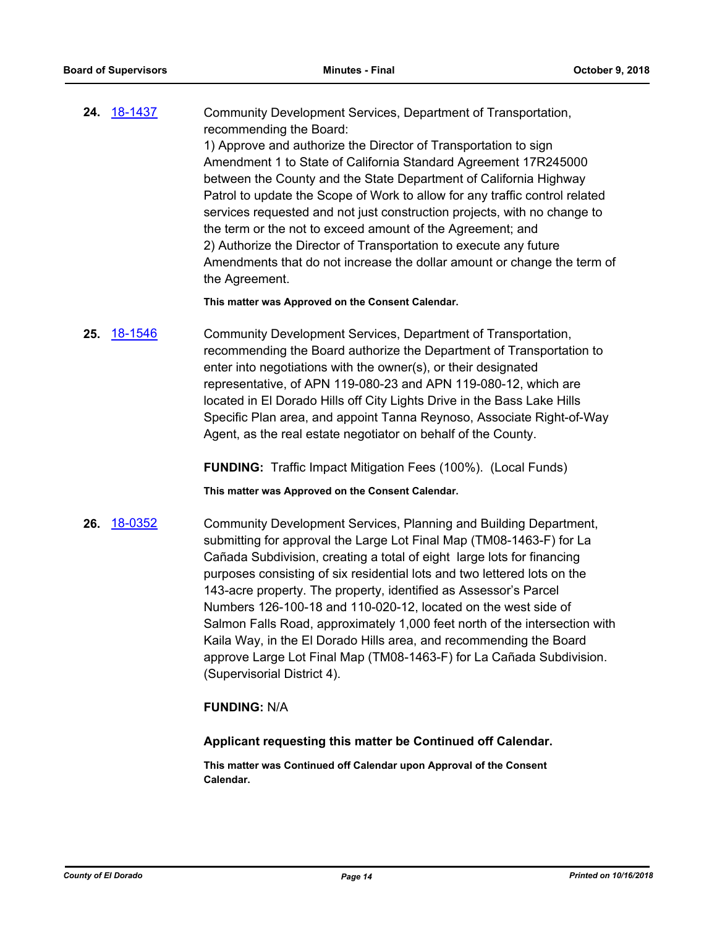**24.** [18-1437](http://eldorado.legistar.com/gateway.aspx?m=l&id=/matter.aspx?key=24789) Community Development Services, Department of Transportation, recommending the Board: 1) Approve and authorize the Director of Transportation to sign Amendment 1 to State of California Standard Agreement 17R245000 between the County and the State Department of California Highway Patrol to update the Scope of Work to allow for any traffic control related services requested and not just construction projects, with no change to the term or the not to exceed amount of the Agreement; and 2) Authorize the Director of Transportation to execute any future Amendments that do not increase the dollar amount or change the term of the Agreement.

**This matter was Approved on the Consent Calendar.**

**25.** [18-1546](http://eldorado.legistar.com/gateway.aspx?m=l&id=/matter.aspx?key=24897) Community Development Services, Department of Transportation, recommending the Board authorize the Department of Transportation to enter into negotiations with the owner(s), or their designated representative, of APN 119-080-23 and APN 119-080-12, which are located in El Dorado Hills off City Lights Drive in the Bass Lake Hills Specific Plan area, and appoint Tanna Reynoso, Associate Right-of-Way Agent, as the real estate negotiator on behalf of the County.

**FUNDING:** Traffic Impact Mitigation Fees (100%). (Local Funds)

**This matter was Approved on the Consent Calendar.**

**26.** [18-0352](http://eldorado.legistar.com/gateway.aspx?m=l&id=/matter.aspx?key=23695) Community Development Services, Planning and Building Department, submitting for approval the Large Lot Final Map (TM08-1463-F) for La Cañada Subdivision, creating a total of eight large lots for financing purposes consisting of six residential lots and two lettered lots on the 143-acre property. The property, identified as Assessor's Parcel Numbers 126-100-18 and 110-020-12, located on the west side of Salmon Falls Road, approximately 1,000 feet north of the intersection with Kaila Way, in the El Dorado Hills area, and recommending the Board approve Large Lot Final Map (TM08-1463-F) for La Cañada Subdivision. (Supervisorial District 4).

# **FUNDING:** N/A

#### **Applicant requesting this matter be Continued off Calendar.**

**This matter was Continued off Calendar upon Approval of the Consent Calendar.**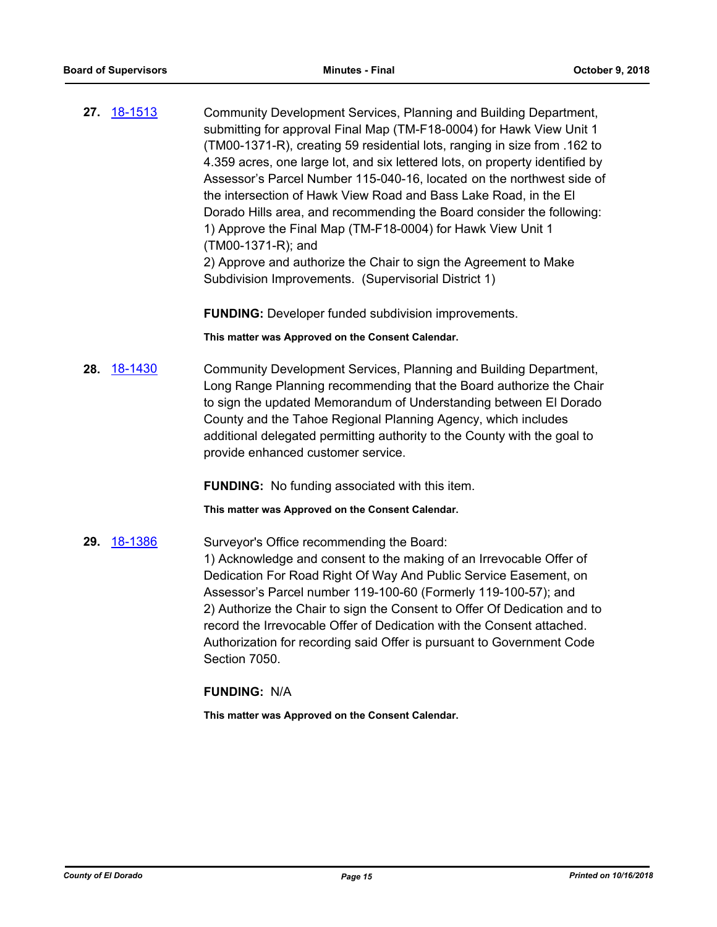**27.** [18-1513](http://eldorado.legistar.com/gateway.aspx?m=l&id=/matter.aspx?key=24864) Community Development Services, Planning and Building Department, submitting for approval Final Map (TM-F18-0004) for Hawk View Unit 1 (TM00-1371-R), creating 59 residential lots, ranging in size from .162 to 4.359 acres, one large lot, and six lettered lots, on property identified by Assessor's Parcel Number 115-040-16, located on the northwest side of the intersection of Hawk View Road and Bass Lake Road, in the El Dorado Hills area, and recommending the Board consider the following: 1) Approve the Final Map (TM-F18-0004) for Hawk View Unit 1 (TM00-1371-R); and 2) Approve and authorize the Chair to sign the Agreement to Make Subdivision Improvements. (Supervisorial District 1)

**FUNDING:** Developer funded subdivision improvements.

**This matter was Approved on the Consent Calendar.**

**28.** [18-1430](http://eldorado.legistar.com/gateway.aspx?m=l&id=/matter.aspx?key=24782) Community Development Services, Planning and Building Department, Long Range Planning recommending that the Board authorize the Chair to sign the updated Memorandum of Understanding between El Dorado County and the Tahoe Regional Planning Agency, which includes additional delegated permitting authority to the County with the goal to provide enhanced customer service.

**FUNDING:** No funding associated with this item.

**This matter was Approved on the Consent Calendar.**

29. [18-1386](http://eldorado.legistar.com/gateway.aspx?m=l&id=/matter.aspx?key=24738) Surveyor's Office recommending the Board: 1) Acknowledge and consent to the making of an Irrevocable Offer of Dedication For Road Right Of Way And Public Service Easement, on Assessor's Parcel number 119-100-60 (Formerly 119-100-57); and 2) Authorize the Chair to sign the Consent to Offer Of Dedication and to record the Irrevocable Offer of Dedication with the Consent attached. Authorization for recording said Offer is pursuant to Government Code Section 7050.

# **FUNDING:** N/A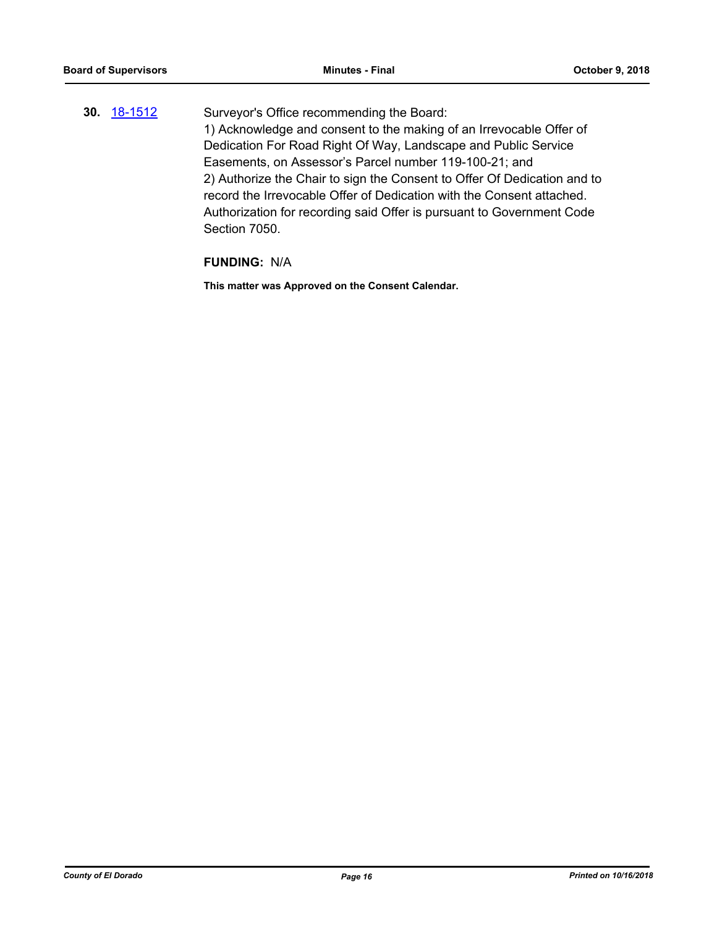**30.** [18-1512](http://eldorado.legistar.com/gateway.aspx?m=l&id=/matter.aspx?key=24863) Surveyor's Office recommending the Board: 1) Acknowledge and consent to the making of an Irrevocable Offer of Dedication For Road Right Of Way, Landscape and Public Service Easements, on Assessor's Parcel number 119-100-21; and 2) Authorize the Chair to sign the Consent to Offer Of Dedication and to record the Irrevocable Offer of Dedication with the Consent attached. Authorization for recording said Offer is pursuant to Government Code Section 7050.

#### **FUNDING:** N/A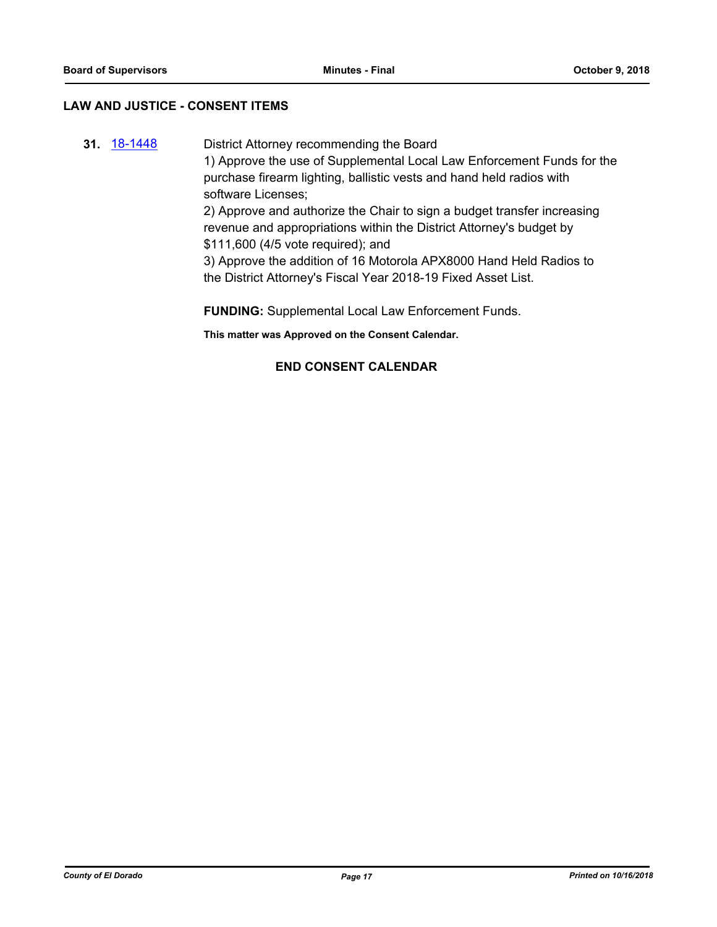# **LAW AND JUSTICE - CONSENT ITEMS**

**31.** [18-1448](http://eldorado.legistar.com/gateway.aspx?m=l&id=/matter.aspx?key=24800) District Attorney recommending the Board 1) Approve the use of Supplemental Local Law Enforcement Funds for the purchase firearm lighting, ballistic vests and hand held radios with software Licenses; 2) Approve and authorize the Chair to sign a budget transfer increasing revenue and appropriations within the District Attorney's budget by \$111,600 (4/5 vote required); and 3) Approve the addition of 16 Motorola APX8000 Hand Held Radios to the District Attorney's Fiscal Year 2018-19 Fixed Asset List.

**FUNDING:** Supplemental Local Law Enforcement Funds.

**This matter was Approved on the Consent Calendar.**

# **END CONSENT CALENDAR**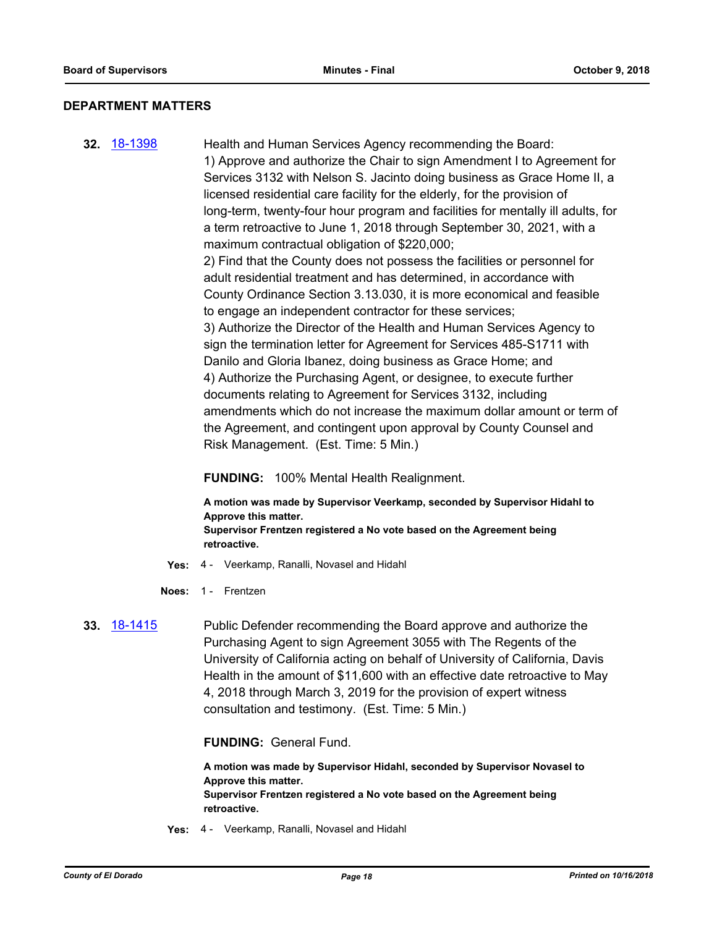### **DEPARTMENT MATTERS**

**32.** [18-1398](http://eldorado.legistar.com/gateway.aspx?m=l&id=/matter.aspx?key=24750) Health and Human Services Agency recommending the Board: 1) Approve and authorize the Chair to sign Amendment I to Agreement for Services 3132 with Nelson S. Jacinto doing business as Grace Home II, a licensed residential care facility for the elderly, for the provision of long-term, twenty-four hour program and facilities for mentally ill adults, for a term retroactive to June 1, 2018 through September 30, 2021, with a maximum contractual obligation of \$220,000; 2) Find that the County does not possess the facilities or personnel for adult residential treatment and has determined, in accordance with County Ordinance Section 3.13.030, it is more economical and feasible to engage an independent contractor for these services; 3) Authorize the Director of the Health and Human Services Agency to sign the termination letter for Agreement for Services 485-S1711 with Danilo and Gloria Ibanez, doing business as Grace Home; and 4) Authorize the Purchasing Agent, or designee, to execute further documents relating to Agreement for Services 3132, including amendments which do not increase the maximum dollar amount or term of the Agreement, and contingent upon approval by County Counsel and Risk Management. (Est. Time: 5 Min.)

**FUNDING:** 100% Mental Health Realignment.

**A motion was made by Supervisor Veerkamp, seconded by Supervisor Hidahl to Approve this matter. Supervisor Frentzen registered a No vote based on the Agreement being retroactive.**

- **Yes:** 4 Veerkamp, Ranalli, Novasel and Hidahl
- **Noes:** 1 Frentzen
- **33.** [18-1415](http://eldorado.legistar.com/gateway.aspx?m=l&id=/matter.aspx?key=24767) Public Defender recommending the Board approve and authorize the Purchasing Agent to sign Agreement 3055 with The Regents of the University of California acting on behalf of University of California, Davis Health in the amount of \$11,600 with an effective date retroactive to May 4, 2018 through March 3, 2019 for the provision of expert witness consultation and testimony. (Est. Time: 5 Min.)

**FUNDING:** General Fund.

**A motion was made by Supervisor Hidahl, seconded by Supervisor Novasel to Approve this matter. Supervisor Frentzen registered a No vote based on the Agreement being retroactive.**

**Yes:** 4 - Veerkamp, Ranalli, Novasel and Hidahl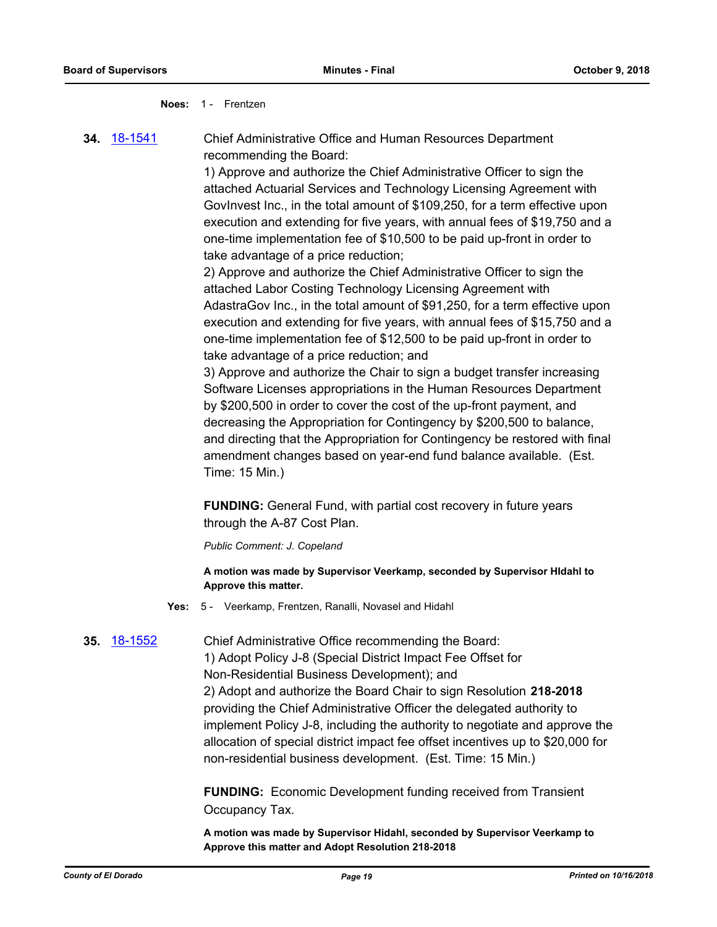#### **Noes:** 1 - Frentzen

**34.** [18-1541](http://eldorado.legistar.com/gateway.aspx?m=l&id=/matter.aspx?key=24892) Chief Administrative Office and Human Resources Department recommending the Board:

> 1) Approve and authorize the Chief Administrative Officer to sign the attached Actuarial Services and Technology Licensing Agreement with GovInvest Inc., in the total amount of \$109,250, for a term effective upon execution and extending for five years, with annual fees of \$19,750 and a one-time implementation fee of \$10,500 to be paid up-front in order to take advantage of a price reduction;

> 2) Approve and authorize the Chief Administrative Officer to sign the attached Labor Costing Technology Licensing Agreement with AdastraGov Inc., in the total amount of \$91,250, for a term effective upon execution and extending for five years, with annual fees of \$15,750 and a one-time implementation fee of \$12,500 to be paid up-front in order to take advantage of a price reduction; and

> 3) Approve and authorize the Chair to sign a budget transfer increasing Software Licenses appropriations in the Human Resources Department by \$200,500 in order to cover the cost of the up-front payment, and decreasing the Appropriation for Contingency by \$200,500 to balance, and directing that the Appropriation for Contingency be restored with final amendment changes based on year-end fund balance available. (Est. Time: 15 Min.)

**FUNDING:** General Fund, with partial cost recovery in future years through the A-87 Cost Plan.

*Public Comment: J. Copeland*

**A motion was made by Supervisor Veerkamp, seconded by Supervisor HIdahl to Approve this matter.**

**Yes:** 5 - Veerkamp, Frentzen, Ranalli, Novasel and Hidahl

# **35.** [18-1552](http://eldorado.legistar.com/gateway.aspx?m=l&id=/matter.aspx?key=24903) Chief Administrative Office recommending the Board:

1) Adopt Policy J-8 (Special District Impact Fee Offset for Non-Residential Business Development); and 2) Adopt and authorize the Board Chair to sign Resolution **218-2018**  providing the Chief Administrative Officer the delegated authority to implement Policy J-8, including the authority to negotiate and approve the allocation of special district impact fee offset incentives up to \$20,000 for non-residential business development. (Est. Time: 15 Min.)

**FUNDING:** Economic Development funding received from Transient Occupancy Tax.

**A motion was made by Supervisor Hidahl, seconded by Supervisor Veerkamp to Approve this matter and Adopt Resolution 218-2018**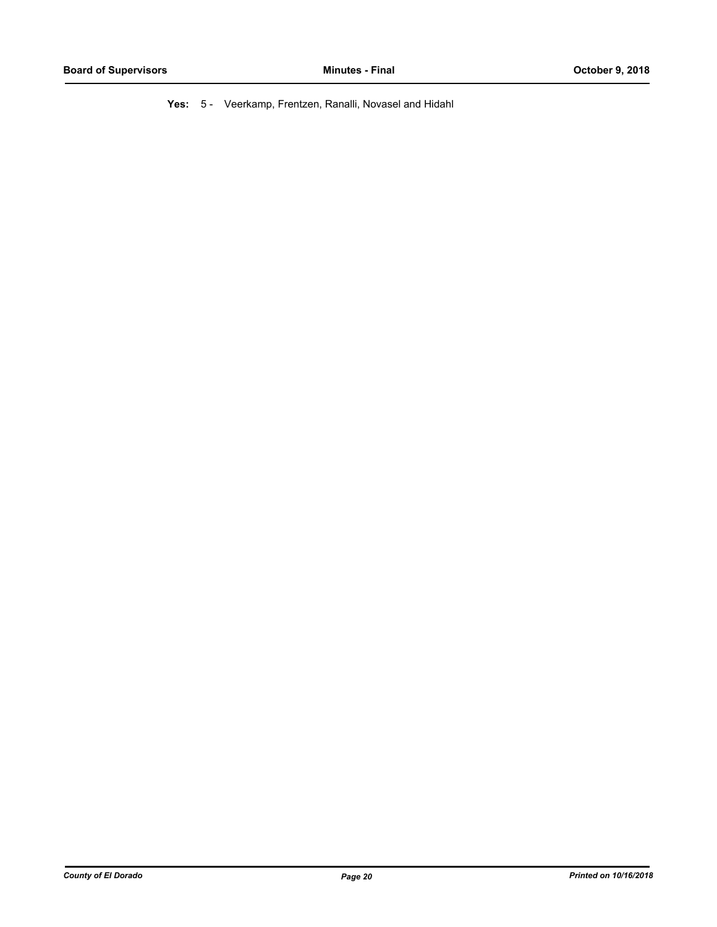**Yes:** 5 - Veerkamp, Frentzen, Ranalli, Novasel and Hidahl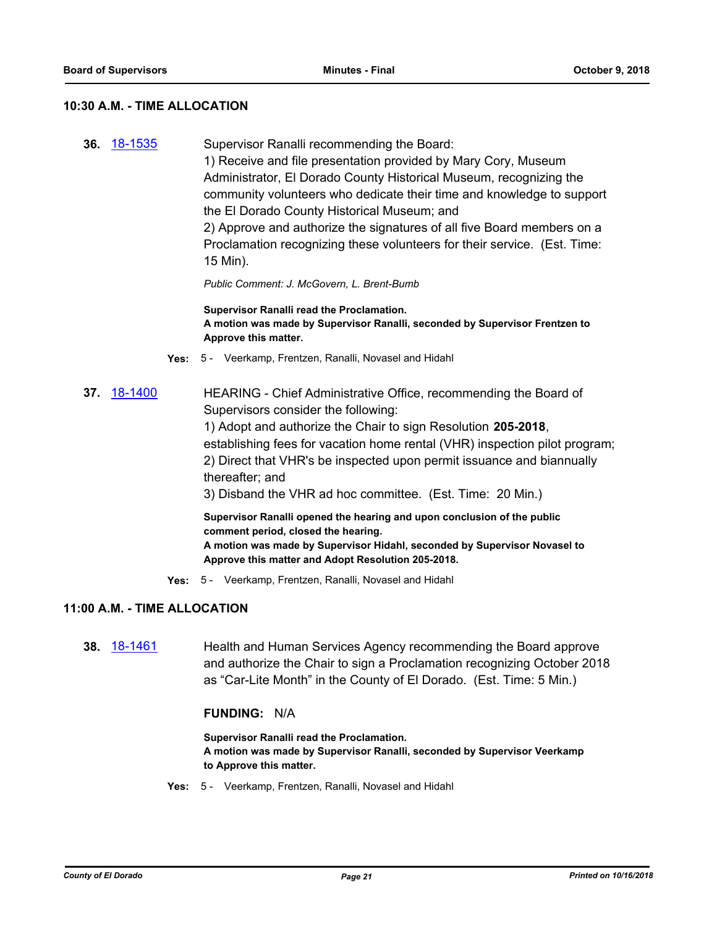#### **10:30 A.M. - TIME ALLOCATION**

**36.** [18-1535](http://eldorado.legistar.com/gateway.aspx?m=l&id=/matter.aspx?key=24886) Supervisor Ranalli recommending the Board: 1) Receive and file presentation provided by Mary Cory, Museum Administrator, El Dorado County Historical Museum, recognizing the community volunteers who dedicate their time and knowledge to support the El Dorado County Historical Museum; and 2) Approve and authorize the signatures of all five Board members on a Proclamation recognizing these volunteers for their service. (Est. Time: 15 Min).

*Public Comment: J. McGovern, L. Brent-Bumb*

**Supervisor Ranalli read the Proclamation. A motion was made by Supervisor Ranalli, seconded by Supervisor Frentzen to Approve this matter.**

- **Yes:** 5 Veerkamp, Frentzen, Ranalli, Novasel and Hidahl
- **37.** [18-1400](http://eldorado.legistar.com/gateway.aspx?m=l&id=/matter.aspx?key=24752) HEARING Chief Administrative Office, recommending the Board of Supervisors consider the following:

1) Adopt and authorize the Chair to sign Resolution **205-2018**, establishing fees for vacation home rental (VHR) inspection pilot program; 2) Direct that VHR's be inspected upon permit issuance and biannually thereafter; and

3) Disband the VHR ad hoc committee. (Est. Time: 20 Min.)

**Supervisor Ranalli opened the hearing and upon conclusion of the public comment period, closed the hearing. A motion was made by Supervisor Hidahl, seconded by Supervisor Novasel to Approve this matter and Adopt Resolution 205-2018.**

**Yes:** 5 - Veerkamp, Frentzen, Ranalli, Novasel and Hidahl

# **11:00 A.M. - TIME ALLOCATION**

**38.** [18-1461](http://eldorado.legistar.com/gateway.aspx?m=l&id=/matter.aspx?key=24813) Health and Human Services Agency recommending the Board approve and authorize the Chair to sign a Proclamation recognizing October 2018 as "Car-Lite Month" in the County of El Dorado. (Est. Time: 5 Min.)

#### **FUNDING:** N/A

**Supervisor Ranalli read the Proclamation. A motion was made by Supervisor Ranalli, seconded by Supervisor Veerkamp to Approve this matter.**

**Yes:** 5 - Veerkamp, Frentzen, Ranalli, Novasel and Hidahl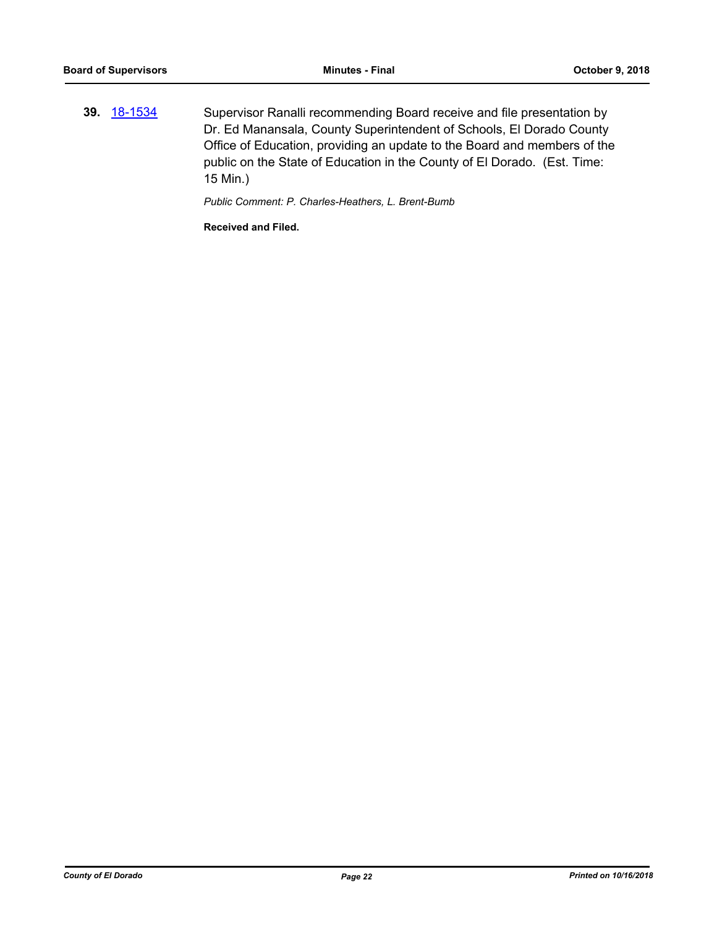**39.** [18-1534](http://eldorado.legistar.com/gateway.aspx?m=l&id=/matter.aspx?key=24885) Supervisor Ranalli recommending Board receive and file presentation by Dr. Ed Manansala, County Superintendent of Schools, El Dorado County Office of Education, providing an update to the Board and members of the public on the State of Education in the County of El Dorado. (Est. Time: 15 Min.)

*Public Comment: P. Charles-Heathers, L. Brent-Bumb*

**Received and Filed.**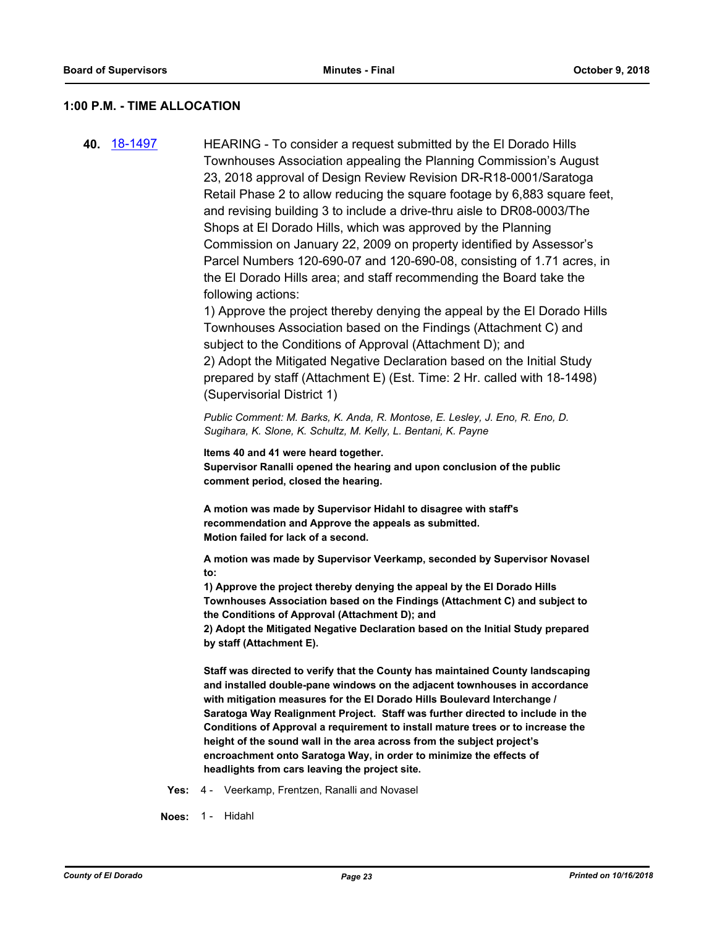#### **1:00 P.M. - TIME ALLOCATION**

**40.** [18-1497](http://eldorado.legistar.com/gateway.aspx?m=l&id=/matter.aspx?key=24848) HEARING - To consider a request submitted by the El Dorado Hills Townhouses Association appealing the Planning Commission's August 23, 2018 approval of Design Review Revision DR-R18-0001/Saratoga Retail Phase 2 to allow reducing the square footage by 6,883 square feet, and revising building 3 to include a drive-thru aisle to DR08-0003/The Shops at El Dorado Hills, which was approved by the Planning Commission on January 22, 2009 on property identified by Assessor's Parcel Numbers 120-690-07 and 120-690-08, consisting of 1.71 acres, in the El Dorado Hills area; and staff recommending the Board take the following actions: 1) Approve the project thereby denying the appeal by the El Dorado Hills Townhouses Association based on the Findings (Attachment C) and subject to the Conditions of Approval (Attachment D); and 2) Adopt the Mitigated Negative Declaration based on the Initial Study prepared by staff (Attachment E) (Est. Time: 2 Hr. called with 18-1498) (Supervisorial District 1) *Public Comment: M. Barks, K. Anda, R. Montose, E. Lesley, J. Eno, R. Eno, D.* 

*Sugihara, K. Slone, K. Schultz, M. Kelly, L. Bentani, K. Payne*

**Items 40 and 41 were heard together. Supervisor Ranalli opened the hearing and upon conclusion of the public comment period, closed the hearing.**

**A motion was made by Supervisor Hidahl to disagree with staff's recommendation and Approve the appeals as submitted. Motion failed for lack of a second.**

**A motion was made by Supervisor Veerkamp, seconded by Supervisor Novasel to:**

**1) Approve the project thereby denying the appeal by the El Dorado Hills Townhouses Association based on the Findings (Attachment C) and subject to the Conditions of Approval (Attachment D); and**

**2) Adopt the Mitigated Negative Declaration based on the Initial Study prepared by staff (Attachment E).**

**Staff was directed to verify that the County has maintained County landscaping and installed double-pane windows on the adjacent townhouses in accordance with mitigation measures for the El Dorado Hills Boulevard Interchange / Saratoga Way Realignment Project. Staff was further directed to include in the Conditions of Approval a requirement to install mature trees or to increase the height of the sound wall in the area across from the subject project's encroachment onto Saratoga Way, in order to minimize the effects of headlights from cars leaving the project site.**

**Yes:** 4 - Veerkamp, Frentzen, Ranalli and Novasel

**Noes:** 1 - Hidahl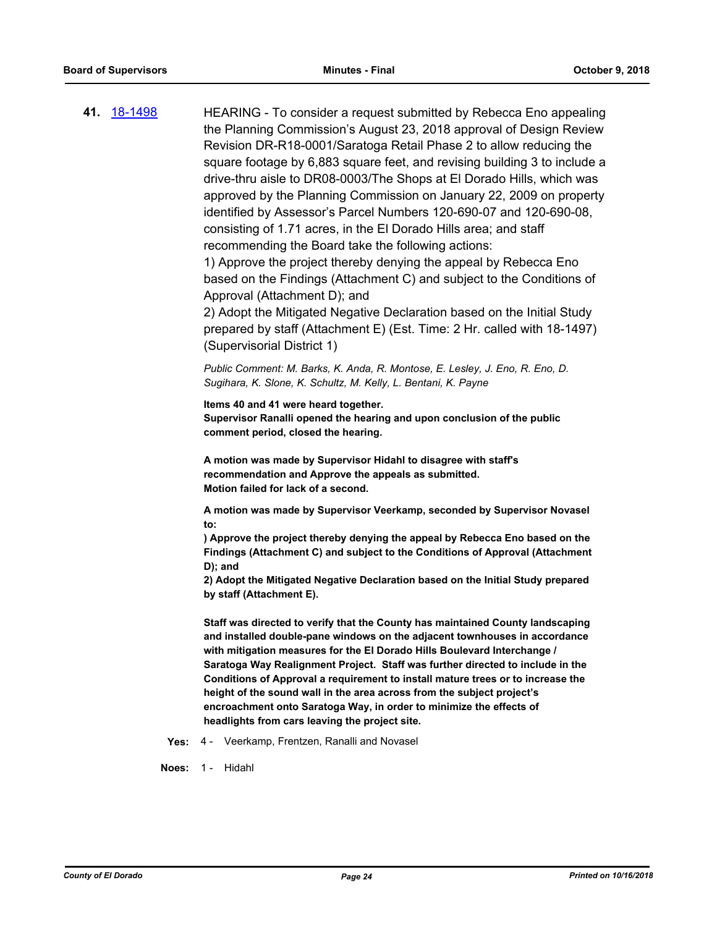| 41. 18-1498 | HEARING - To consider a request submitted by Rebecca Eno appealing<br>the Planning Commission's August 23, 2018 approval of Design Review<br>Revision DR-R18-0001/Saratoga Retail Phase 2 to allow reducing the<br>square footage by 6,883 square feet, and revising building 3 to include a<br>drive-thru aisle to DR08-0003/The Shops at El Dorado Hills, which was<br>approved by the Planning Commission on January 22, 2009 on property<br>identified by Assessor's Parcel Numbers 120-690-07 and 120-690-08,<br>consisting of 1.71 acres, in the El Dorado Hills area; and staff<br>recommending the Board take the following actions:<br>1) Approve the project thereby denying the appeal by Rebecca Eno<br>based on the Findings (Attachment C) and subject to the Conditions of<br>Approval (Attachment D); and<br>2) Adopt the Mitigated Negative Declaration based on the Initial Study<br>prepared by staff (Attachment E) (Est. Time: 2 Hr. called with 18-1497)<br>(Supervisorial District 1) |
|-------------|--------------------------------------------------------------------------------------------------------------------------------------------------------------------------------------------------------------------------------------------------------------------------------------------------------------------------------------------------------------------------------------------------------------------------------------------------------------------------------------------------------------------------------------------------------------------------------------------------------------------------------------------------------------------------------------------------------------------------------------------------------------------------------------------------------------------------------------------------------------------------------------------------------------------------------------------------------------------------------------------------------------|
|             | Public Comment: M. Barks, K. Anda, R. Montose, E. Lesley, J. Eno, R. Eno, D.<br>Sugihara, K. Slone, K. Schultz, M. Kelly, L. Bentani, K. Payne                                                                                                                                                                                                                                                                                                                                                                                                                                                                                                                                                                                                                                                                                                                                                                                                                                                               |
|             | Items 40 and 41 were heard together.<br>Supervisor Ranalli opened the hearing and upon conclusion of the public<br>comment period, closed the hearing.                                                                                                                                                                                                                                                                                                                                                                                                                                                                                                                                                                                                                                                                                                                                                                                                                                                       |
|             | A motion was made by Supervisor Hidahl to disagree with staff's<br>recommendation and Approve the appeals as submitted.<br>Motion failed for lack of a second.                                                                                                                                                                                                                                                                                                                                                                                                                                                                                                                                                                                                                                                                                                                                                                                                                                               |
|             | A motion was made by Supervisor Veerkamp, seconded by Supervisor Novasel<br>to:                                                                                                                                                                                                                                                                                                                                                                                                                                                                                                                                                                                                                                                                                                                                                                                                                                                                                                                              |
|             | ) Approve the project thereby denying the appeal by Rebecca Eno based on the<br>Findings (Attachment C) and subject to the Conditions of Approval (Attachment                                                                                                                                                                                                                                                                                                                                                                                                                                                                                                                                                                                                                                                                                                                                                                                                                                                |
|             | $D$ ; and<br>2) Adopt the Mitigated Negative Declaration based on the Initial Study prepared<br>by staff (Attachment E).                                                                                                                                                                                                                                                                                                                                                                                                                                                                                                                                                                                                                                                                                                                                                                                                                                                                                     |
|             | Staff was directed to verify that the County has maintained County landscaping<br>and installed double-pane windows on the adjacent townhouses in accordance<br>with mitigation measures for the EI Dorado Hills Boulevard Interchange /<br>Saratoga Way Realignment Project. Staff was further directed to include in the<br>Conditions of Approval a requirement to install mature trees or to increase the<br>height of the sound wall in the area across from the subject project's<br>encroachment onto Saratoga Way, in order to minimize the effects of<br>headlights from cars leaving the project site.                                                                                                                                                                                                                                                                                                                                                                                             |
| Yes:        | 4 - Veerkamp, Frentzen, Ranalli and Novasel                                                                                                                                                                                                                                                                                                                                                                                                                                                                                                                                                                                                                                                                                                                                                                                                                                                                                                                                                                  |
|             |                                                                                                                                                                                                                                                                                                                                                                                                                                                                                                                                                                                                                                                                                                                                                                                                                                                                                                                                                                                                              |

**Noes:** 1 - Hidahl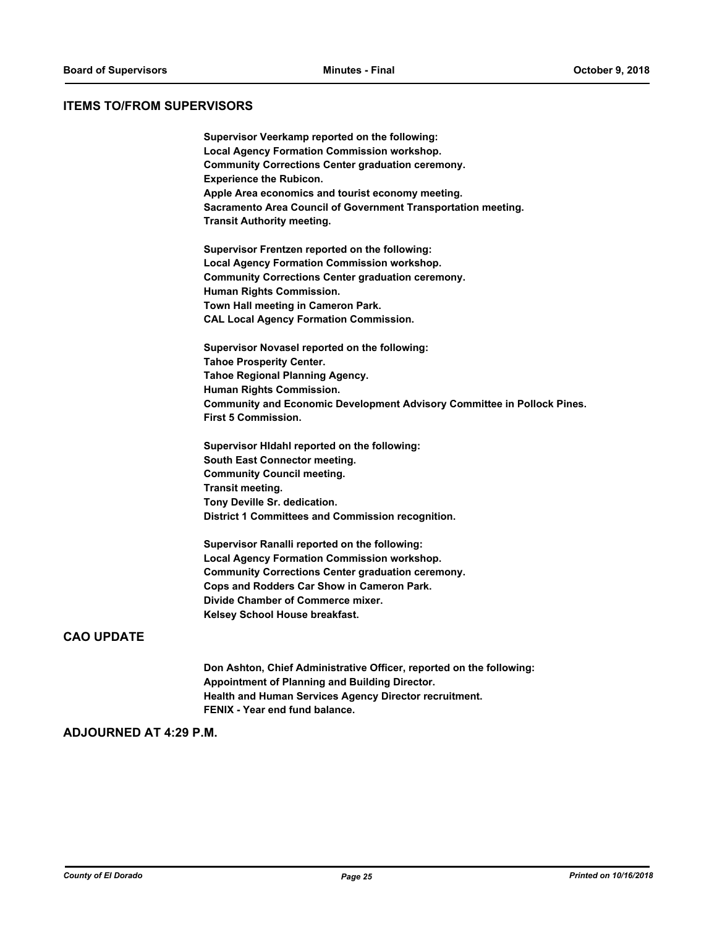#### **ITEMS TO/FROM SUPERVISORS**

| Supervisor Veerkamp reported on the following:                                 |
|--------------------------------------------------------------------------------|
| <b>Local Agency Formation Commission workshop.</b>                             |
| <b>Community Corrections Center graduation ceremony.</b>                       |
| <b>Experience the Rubicon.</b>                                                 |
| Apple Area economics and tourist economy meeting.                              |
| Sacramento Area Council of Government Transportation meeting.                  |
| <b>Transit Authority meeting.</b>                                              |
| Supervisor Frentzen reported on the following:                                 |
| <b>Local Agency Formation Commission workshop.</b>                             |
| <b>Community Corrections Center graduation ceremony.</b>                       |
| <b>Human Rights Commission.</b>                                                |
| Town Hall meeting in Cameron Park.                                             |
| <b>CAL Local Agency Formation Commission.</b>                                  |
| Supervisor Novasel reported on the following:                                  |
| <b>Tahoe Prosperity Center.</b>                                                |
| <b>Tahoe Regional Planning Agency.</b>                                         |
| Human Rights Commission.                                                       |
| <b>Community and Economic Development Advisory Committee in Pollock Pines.</b> |
| <b>First 5 Commission.</b>                                                     |
| Supervisor HIdahl reported on the following:                                   |
| South East Connector meeting.                                                  |
| <b>Community Council meeting.</b>                                              |
| Transit meeting.                                                               |
| Tony Deville Sr. dedication.                                                   |
| District 1 Committees and Commission recognition.                              |
| Supervisor Ranalli reported on the following:                                  |

**Supervisor Ranalli reported on the following: Local Agency Formation Commission workshop. Community Corrections Center graduation ceremony. Cops and Rodders Car Show in Cameron Park. Divide Chamber of Commerce mixer. Kelsey School House breakfast.**

# **CAO UPDATE**

**Don Ashton, Chief Administrative Officer, reported on the following: Appointment of Planning and Building Director. Health and Human Services Agency Director recruitment. FENIX - Year end fund balance.**

## **ADJOURNED AT 4:29 P.M.**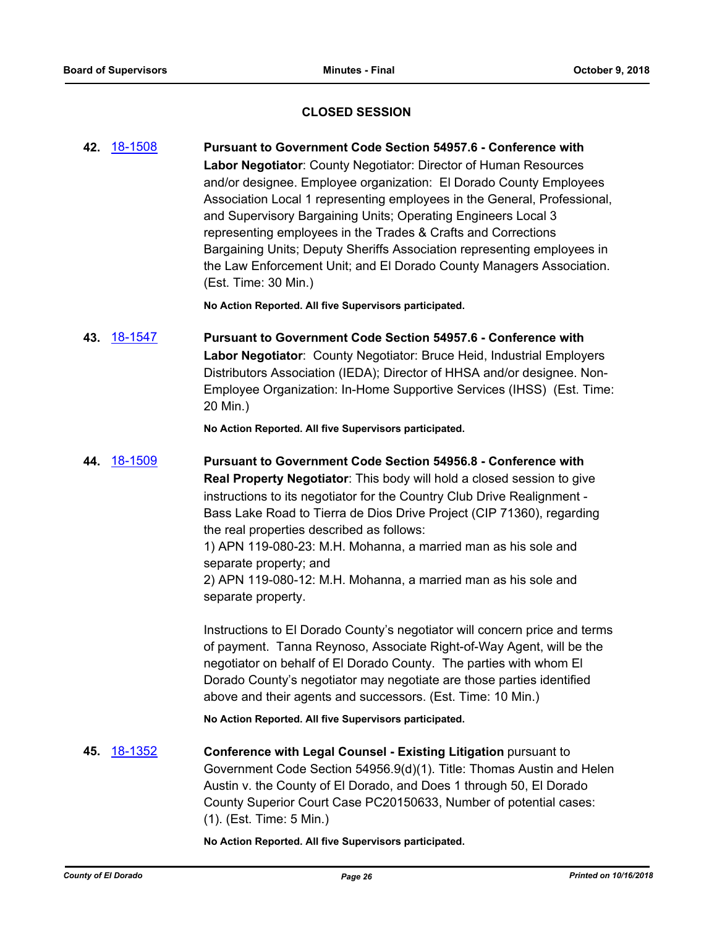# **CLOSED SESSION**

**42.** [18-1508](http://eldorado.legistar.com/gateway.aspx?m=l&id=/matter.aspx?key=24859) **Pursuant to Government Code Section 54957.6 - Conference with Labor Negotiator**: County Negotiator: Director of Human Resources and/or designee. Employee organization: El Dorado County Employees Association Local 1 representing employees in the General, Professional, and Supervisory Bargaining Units; Operating Engineers Local 3 representing employees in the Trades & Crafts and Corrections Bargaining Units; Deputy Sheriffs Association representing employees in the Law Enforcement Unit; and El Dorado County Managers Association. (Est. Time: 30 Min.)

**No Action Reported. All five Supervisors participated.**

**43.** [18-1547](http://eldorado.legistar.com/gateway.aspx?m=l&id=/matter.aspx?key=24898) **Pursuant to Government Code Section 54957.6 - Conference with Labor Negotiator**: County Negotiator: Bruce Heid, Industrial Employers Distributors Association (IEDA); Director of HHSA and/or designee. Non-Employee Organization: In-Home Supportive Services (IHSS) (Est. Time: 20 Min.)

**No Action Reported. All five Supervisors participated.**

**44.** [18-1509](http://eldorado.legistar.com/gateway.aspx?m=l&id=/matter.aspx?key=24860) **Pursuant to Government Code Section 54956.8 - Conference with Real Property Negotiator**: This body will hold a closed session to give instructions to its negotiator for the Country Club Drive Realignment - Bass Lake Road to Tierra de Dios Drive Project (CIP 71360), regarding the real properties described as follows: 1) APN 119-080-23: M.H. Mohanna, a married man as his sole and separate property; and 2) APN 119-080-12: M.H. Mohanna, a married man as his sole and separate property.

Instructions to El Dorado County's negotiator will concern price and terms of payment. Tanna Reynoso, Associate Right-of-Way Agent, will be the negotiator on behalf of El Dorado County. The parties with whom El Dorado County's negotiator may negotiate are those parties identified above and their agents and successors. (Est. Time: 10 Min.)

**No Action Reported. All five Supervisors participated.**

**45.** [18-1352](http://eldorado.legistar.com/gateway.aspx?m=l&id=/matter.aspx?key=24704) **Conference with Legal Counsel - Existing Litigation** pursuant to Government Code Section 54956.9(d)(1). Title: Thomas Austin and Helen Austin v. the County of El Dorado, and Does 1 through 50, El Dorado County Superior Court Case PC20150633, Number of potential cases: (1). (Est. Time: 5 Min.)

**No Action Reported. All five Supervisors participated.**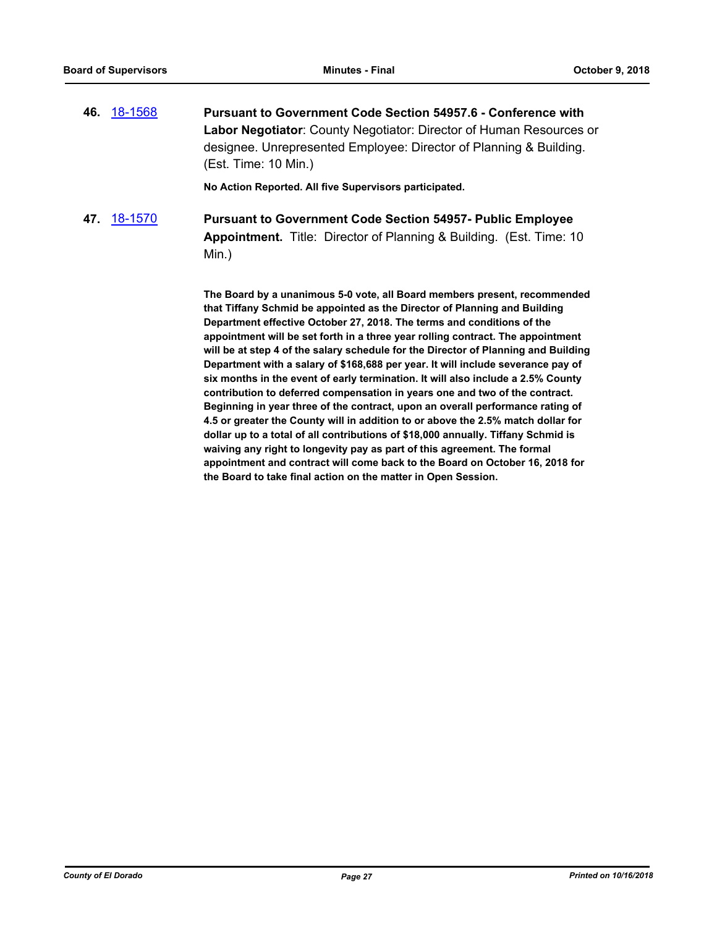**46.** [18-1568](http://eldorado.legistar.com/gateway.aspx?m=l&id=/matter.aspx?key=24919) **Pursuant to Government Code Section 54957.6 - Conference with Labor Negotiator**: County Negotiator: Director of Human Resources or designee. Unrepresented Employee: Director of Planning & Building. (Est. Time: 10 Min.)

**No Action Reported. All five Supervisors participated.**

**47.** [18-1570](http://eldorado.legistar.com/gateway.aspx?m=l&id=/matter.aspx?key=24921) **Pursuant to Government Code Section 54957- Public Employee Appointment.** Title: Director of Planning & Building. (Est. Time: 10 Min.)

> **The Board by a unanimous 5-0 vote, all Board members present, recommended that Tiffany Schmid be appointed as the Director of Planning and Building Department effective October 27, 2018. The terms and conditions of the appointment will be set forth in a three year rolling contract. The appointment will be at step 4 of the salary schedule for the Director of Planning and Building Department with a salary of \$168,688 per year. It will include severance pay of six months in the event of early termination. It will also include a 2.5% County contribution to deferred compensation in years one and two of the contract. Beginning in year three of the contract, upon an overall performance rating of 4.5 or greater the County will in addition to or above the 2.5% match dollar for dollar up to a total of all contributions of \$18,000 annually. Tiffany Schmid is waiving any right to longevity pay as part of this agreement. The formal appointment and contract will come back to the Board on October 16, 2018 for the Board to take final action on the matter in Open Session.**